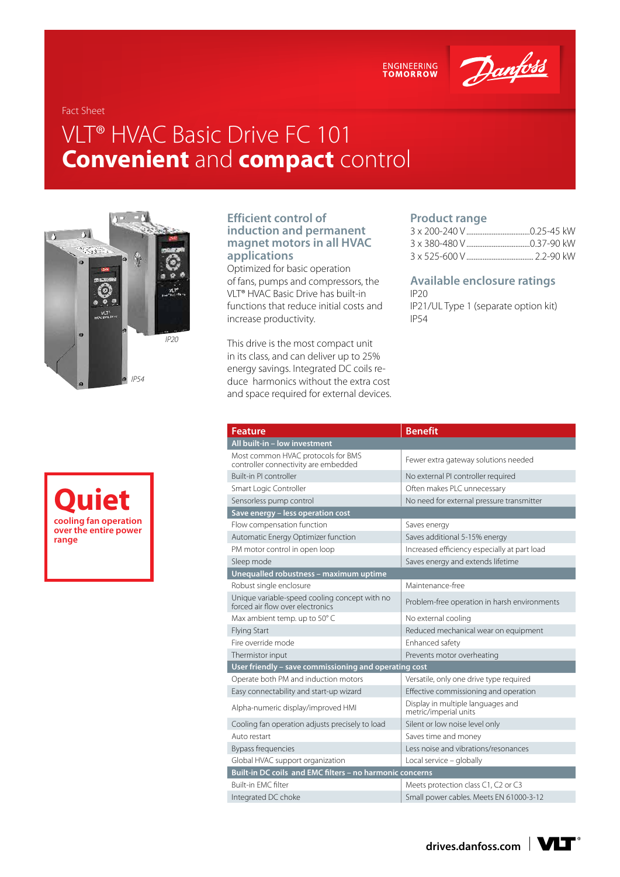ENGINEERING<br>TOMORROW

Danfoss

Fact Sheet

# VLT® HVAC Basic Drive FC 101 **Convenient** and **compact** control





#### **Efficient control of induction and permanent magnet motors in all HVAC applications**

Optimized for basic operation of fans, pumps and compressors, the VLT® HVAC Basic Drive has built-in functions that reduce initial costs and increase productivity.

This drive is the most compact unit in its class, and can deliver up to 25% energy savings. Integrated DC coils reduce harmonics without the extra cost and space required for external devices.

#### **Product range**

### **Available enclosure ratings**

IP20 IP21/UL Type 1 (separate option kit) IP54

| <b>Feature</b>                                                                    | <b>Benefit</b>                                                  |  |  |  |  |  |  |
|-----------------------------------------------------------------------------------|-----------------------------------------------------------------|--|--|--|--|--|--|
| All built-in - low investment                                                     |                                                                 |  |  |  |  |  |  |
| Most common HVAC protocols for BMS<br>controller connectivity are embedded        | Fewer extra gateway solutions needed                            |  |  |  |  |  |  |
| Built-in PI controller                                                            | No external PI controller required                              |  |  |  |  |  |  |
| Smart Logic Controller                                                            | Often makes PLC unnecessary                                     |  |  |  |  |  |  |
| Sensorless pump control                                                           | No need for external pressure transmitter                       |  |  |  |  |  |  |
| Save energy - less operation cost                                                 |                                                                 |  |  |  |  |  |  |
| Flow compensation function                                                        | Saves energy                                                    |  |  |  |  |  |  |
| Automatic Energy Optimizer function                                               | Saves additional 5-15% energy                                   |  |  |  |  |  |  |
| PM motor control in open loop                                                     | Increased efficiency especially at part load                    |  |  |  |  |  |  |
| Sleep mode                                                                        | Saves energy and extends lifetime                               |  |  |  |  |  |  |
| Unequalled robustness - maximum uptime                                            |                                                                 |  |  |  |  |  |  |
| Robust single enclosure                                                           | Maintenance-free                                                |  |  |  |  |  |  |
| Unique variable-speed cooling concept with no<br>forced air flow over electronics | Problem-free operation in harsh environments                    |  |  |  |  |  |  |
| Max ambient temp. up to 50°C                                                      | No external cooling                                             |  |  |  |  |  |  |
| <b>Flying Start</b>                                                               | Reduced mechanical wear on equipment                            |  |  |  |  |  |  |
| Fire override mode                                                                | Enhanced safety                                                 |  |  |  |  |  |  |
| Thermistor input                                                                  | Prevents motor overheating                                      |  |  |  |  |  |  |
| User friendly - save commissioning and operating cost                             |                                                                 |  |  |  |  |  |  |
| Operate both PM and induction motors                                              | Versatile, only one drive type required                         |  |  |  |  |  |  |
| Easy connectability and start-up wizard                                           | Effective commissioning and operation                           |  |  |  |  |  |  |
| Alpha-numeric display/improved HMI                                                | Display in multiple languages and<br>metric/imperial units      |  |  |  |  |  |  |
| Cooling fan operation adjusts precisely to load                                   | Silent or low noise level only                                  |  |  |  |  |  |  |
| Auto restart                                                                      | Saves time and money                                            |  |  |  |  |  |  |
| Bypass frequencies                                                                | Less noise and vibrations/resonances                            |  |  |  |  |  |  |
| Global HVAC support organization                                                  | Local service - globally                                        |  |  |  |  |  |  |
|                                                                                   | <b>Built-in DC coils and EMC filters - no harmonic concerns</b> |  |  |  |  |  |  |
| Built-in FMC filter                                                               | Meets protection class C1, C2 or C3                             |  |  |  |  |  |  |
| Integrated DC choke                                                               | Small power cables. Meets EN 61000-3-12                         |  |  |  |  |  |  |